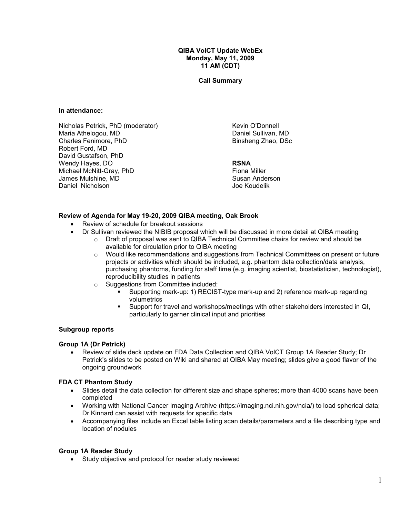QIBA VolCT Update WebEx Monday, May 11, 2009 11 AM (CDT)

Call Summary

#### In attendance:

Nicholas Petrick, PhD (moderator) Maria Athelogou, MD Charles Fenimore, PhD Robert Ford, MD David Gustafson, PhD Wendy Hayes, DO Michael McNitt-Gray, PhD James Mulshine, MD Daniel Nicholson

Kevin O'Donnell Daniel Sullivan, MD Binsheng Zhao, DSc

#### RSNA

Fiona Miller Susan Anderson Joe Koudelik

### Review of Agenda for May 19-20, 2009 QIBA meeting, Oak Brook

- Review of schedule for breakout sessions
- Dr Sullivan reviewed the NIBIB proposal which will be discussed in more detail at QIBA meeting
	- $\circ$  Draft of proposal was sent to QIBA Technical Committee chairs for review and should be available for circulation prior to QIBA meeting
	- $\circ$  Would like recommendations and suggestions from Technical Committees on present or future projects or activities which should be included, e.g. phantom data collection/data analysis, purchasing phantoms, funding for staff time (e.g. imaging scientist, biostatistician, technologist), reproducibility studies in patients
	- o Suggestions from Committee included:
		- Supporting mark-up: 1) RECIST-type mark-up and 2) reference mark-up regarding volumetrics
		- Support for travel and workshops/meetings with other stakeholders interested in QI, particularly to garner clinical input and priorities

#### Subgroup reports

#### Group 1A (Dr Petrick)

• Review of slide deck update on FDA Data Collection and QIBA VolCT Group 1A Reader Study; Dr Petrick's slides to be posted on Wiki and shared at QIBA May meeting; slides give a good flavor of the ongoing groundwork

### FDA CT Phantom Study

- Slides detail the data collection for different size and shape spheres; more than 4000 scans have been completed
- Working with National Cancer Imaging Archive (https://imaging.nci.nih.gov/ncia/) to load spherical data; Dr Kinnard can assist with requests for specific data
- Accompanying files include an Excel table listing scan details/parameters and a file describing type and location of nodules

### Group 1A Reader Study

• Study objective and protocol for reader study reviewed